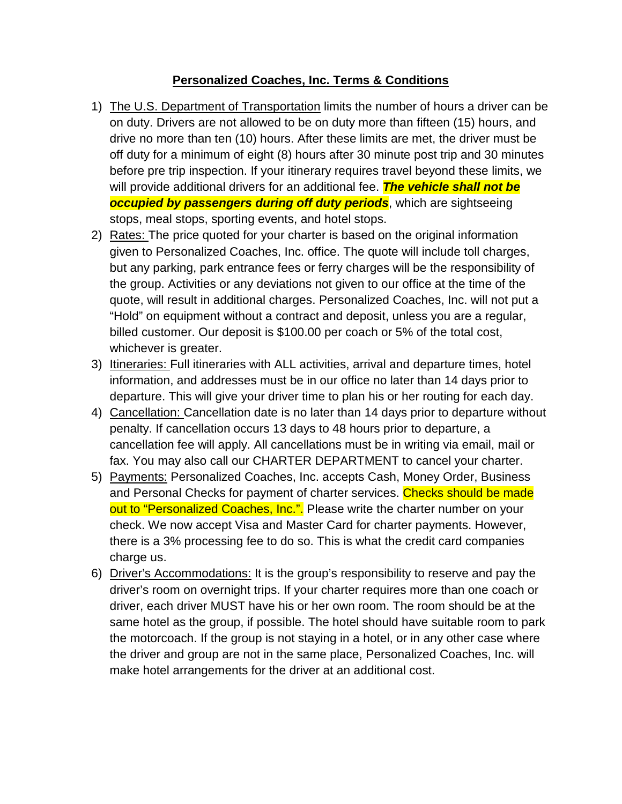## **Personalized Coaches, Inc. Terms & Conditions**

- 1) The U.S. Department of Transportation limits the number of hours a driver can be on duty. Drivers are not allowed to be on duty more than fifteen (15) hours, and drive no more than ten (10) hours. After these limits are met, the driver must be off duty for a minimum of eight (8) hours after 30 minute post trip and 30 minutes before pre trip inspection. If your itinerary requires travel beyond these limits, we will provide additional drivers for an additional fee. *The vehicle shall not be occupied by passengers during off duty periods*, which are sightseeing stops, meal stops, sporting events, and hotel stops.
- 2) Rates: The price quoted for your charter is based on the original information given to Personalized Coaches, Inc. office. The quote will include toll charges, but any parking, park entrance fees or ferry charges will be the responsibility of the group. Activities or any deviations not given to our office at the time of the quote, will result in additional charges. Personalized Coaches, Inc. will not put a "Hold" on equipment without a contract and deposit, unless you are a regular, billed customer. Our deposit is \$100.00 per coach or 5% of the total cost, whichever is greater.
- 3) Itineraries: Full itineraries with ALL activities, arrival and departure times, hotel information, and addresses must be in our office no later than 14 days prior to departure. This will give your driver time to plan his or her routing for each day.
- 4) Cancellation: Cancellation date is no later than 14 days prior to departure without penalty. If cancellation occurs 13 days to 48 hours prior to departure, a cancellation fee will apply. All cancellations must be in writing via email, mail or fax. You may also call our CHARTER DEPARTMENT to cancel your charter.
- 5) Payments: Personalized Coaches, Inc. accepts Cash, Money Order, Business and Personal Checks for payment of charter services. Checks should be made out to "Personalized Coaches, Inc.". Please write the charter number on your check. We now accept Visa and Master Card for charter payments. However, there is a 3% processing fee to do so. This is what the credit card companies charge us.
- 6) Driver's Accommodations: It is the group's responsibility to reserve and pay the driver's room on overnight trips. If your charter requires more than one coach or driver, each driver MUST have his or her own room. The room should be at the same hotel as the group, if possible. The hotel should have suitable room to park the motorcoach. If the group is not staying in a hotel, or in any other case where the driver and group are not in the same place, Personalized Coaches, Inc. will make hotel arrangements for the driver at an additional cost.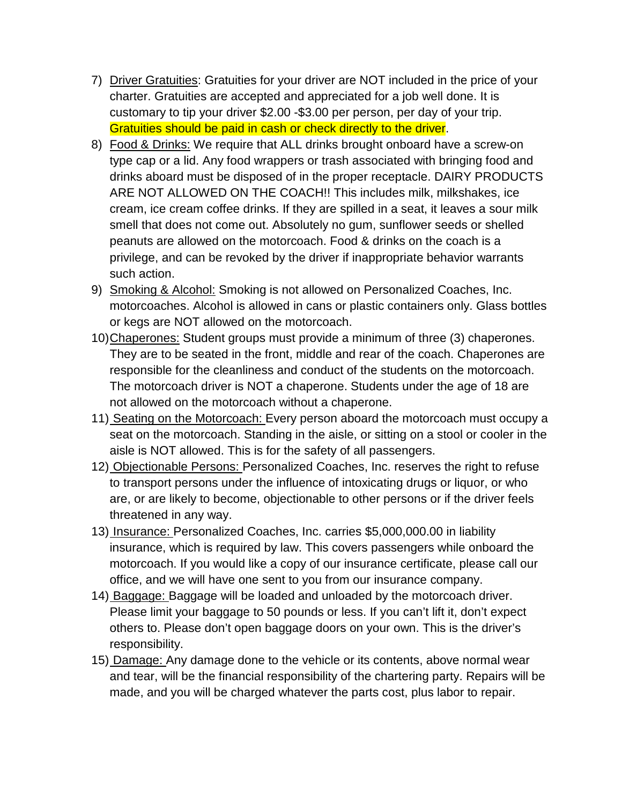- 7) Driver Gratuities: Gratuities for your driver are NOT included in the price of your charter. Gratuities are accepted and appreciated for a job well done. It is customary to tip your driver \$2.00 -\$3.00 per person, per day of your trip. Gratuities should be paid in cash or check directly to the driver.
- 8) Food & Drinks: We require that ALL drinks brought onboard have a screw-on type cap or a lid. Any food wrappers or trash associated with bringing food and drinks aboard must be disposed of in the proper receptacle. DAIRY PRODUCTS ARE NOT ALLOWED ON THE COACH!! This includes milk, milkshakes, ice cream, ice cream coffee drinks. If they are spilled in a seat, it leaves a sour milk smell that does not come out. Absolutely no gum, sunflower seeds or shelled peanuts are allowed on the motorcoach. Food & drinks on the coach is a privilege, and can be revoked by the driver if inappropriate behavior warrants such action.
- 9) Smoking & Alcohol: Smoking is not allowed on Personalized Coaches, Inc. motorcoaches. Alcohol is allowed in cans or plastic containers only. Glass bottles or kegs are NOT allowed on the motorcoach.
- 10)Chaperones: Student groups must provide a minimum of three (3) chaperones. They are to be seated in the front, middle and rear of the coach. Chaperones are responsible for the cleanliness and conduct of the students on the motorcoach. The motorcoach driver is NOT a chaperone. Students under the age of 18 are not allowed on the motorcoach without a chaperone.
- 11) Seating on the Motorcoach: Every person aboard the motorcoach must occupy a seat on the motorcoach. Standing in the aisle, or sitting on a stool or cooler in the aisle is NOT allowed. This is for the safety of all passengers.
- 12) Objectionable Persons: Personalized Coaches, Inc. reserves the right to refuse to transport persons under the influence of intoxicating drugs or liquor, or who are, or are likely to become, objectionable to other persons or if the driver feels threatened in any way.
- 13) Insurance: Personalized Coaches, Inc. carries \$5,000,000.00 in liability insurance, which is required by law. This covers passengers while onboard the motorcoach. If you would like a copy of our insurance certificate, please call our office, and we will have one sent to you from our insurance company.
- 14) Baggage: Baggage will be loaded and unloaded by the motorcoach driver. Please limit your baggage to 50 pounds or less. If you can't lift it, don't expect others to. Please don't open baggage doors on your own. This is the driver's responsibility.
- 15) Damage: Any damage done to the vehicle or its contents, above normal wear and tear, will be the financial responsibility of the chartering party. Repairs will be made, and you will be charged whatever the parts cost, plus labor to repair.